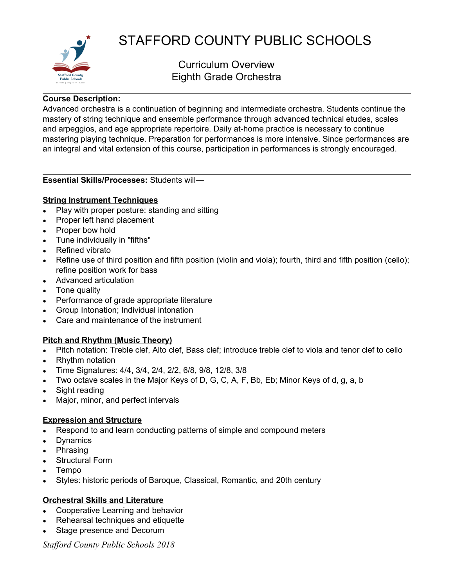

# STAFFORD COUNTY PUBLIC SCHOOLS

# Curriculum Overview Eighth Grade Orchestra

#### **Course Description:**

Advanced orchestra is a continuation of beginning and intermediate orchestra. Students continue the mastery of string technique and ensemble performance through advanced technical etudes, scales and arpeggios, and age appropriate repertoire. Daily at-home practice is necessary to continue mastering playing technique. Preparation for performances is more intensive. Since performances are an integral and vital extension of this course, participation in performances is strongly encouraged.

#### **Essential Skills/Processes:** Students will—

# **String Instrument Techniques**

- Play with proper posture: standing and sitting
- Proper left hand placement
- Proper bow hold
- Tune individually in "fifths"
- Refined vibrato
- Refine use of third position and fifth position (violin and viola); fourth, third and fifth position (cello); refine position work for bass
- Advanced articulation
- $\bullet$  Tone quality
- Performance of grade appropriate literature
- Group Intonation; Individual intonation
- Care and maintenance of the instrument

# **Pitch and Rhythm (Music Theory)**

- Pitch notation: Treble clef, Alto clef, Bass clef; introduce treble clef to viola and tenor clef to cello
- Rhythm notation
- Time Signatures: 4/4, 3/4, 2/4, 2/2, 6/8, 9/8, 12/8, 3/8
- Two octave scales in the Major Keys of D, G, C, A, F, Bb, Eb; Minor Keys of d, g, a, b
- $\bullet$  Sight reading
- Major, minor, and perfect intervals

#### **Expression and Structure**

- Respond to and learn conducting patterns of simple and compound meters
- Dynamics
- Phrasing
- Structural Form
- **Tempo**
- Styles: historic periods of Baroque, Classical, Romantic, and 20th century

# **Orchestral Skills and Literature**

- Cooperative Learning and behavior
- Rehearsal techniques and etiquette
- Stage presence and Decorum

*Stafford County Public Schools 2018*